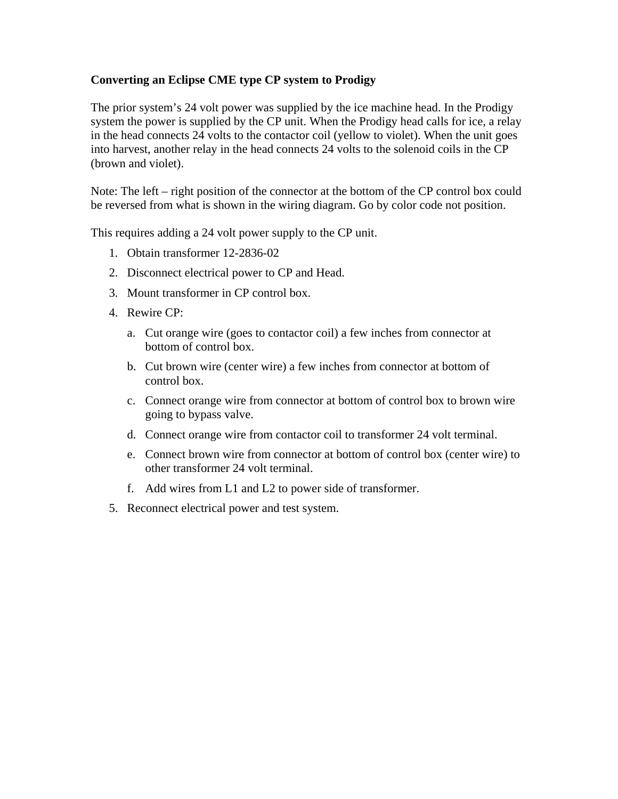## **Converting an Eclipse CME type CP system to Prodigy**

The prior system's 24 volt power was supplied by the ice machine head. In the Prodigy system the power is supplied by the CP unit. When the Prodigy head calls for ice, a relay in the head connects 24 volts to the contactor coil (yellow to violet). When the unit goes into harvest, another relay in the head connects 24 volts to the solenoid coils in the CP (brown and violet).

Note: The left – right position of the connector at the bottom of the CP control box could be reversed from what is shown in the wiring diagram. Go by color code not position.

This requires adding a 24 volt power supply to the CP unit.

- 1. Obtain transformer 12-2836-02
- 2. Disconnect electrical power to CP and Head.
- 3. Mount transformer in CP control box.
- 4. Rewire CP:
	- a. Cut orange wire (goes to contactor coil) a few inches from connector at bottom of control box.
	- b. Cut brown wire (center wire) a few inches from connector at bottom of control box.
	- c. Connect orange wire from connector at bottom of control box to brown wire going to bypass valve.
	- d. Connect orange wire from contactor coil to transformer 24 volt terminal.
	- e. Connect brown wire from connector at bottom of control box (center wire) to other transformer 24 volt terminal.
	- f. Add wires from L1 and L2 to power side of transformer.
- 5. Reconnect electrical power and test system.